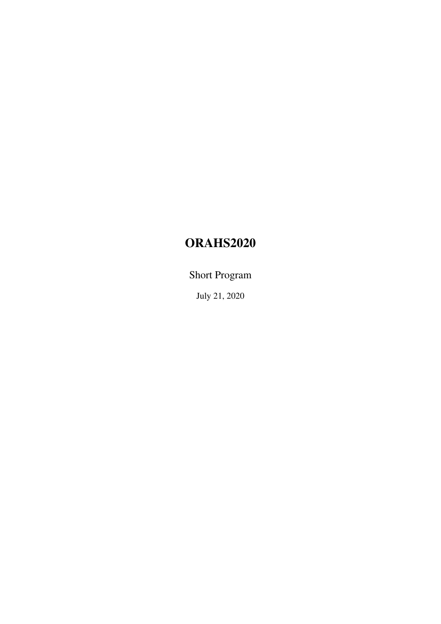# ORAHS2020

Short Program

July 21, 2020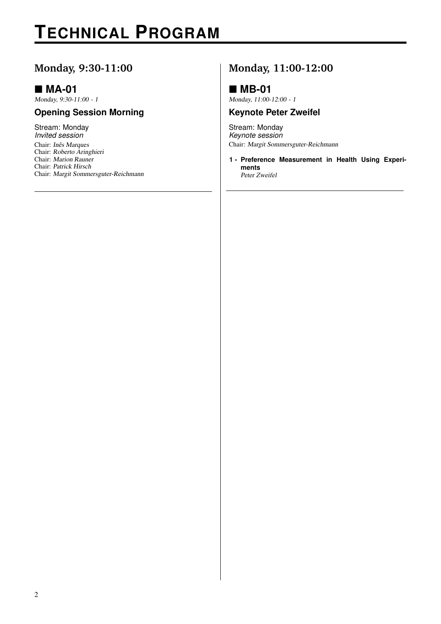# **TECHNICAL PROGRAM**

### **Monday, 9:30-11:00**

### **MA-01**

Monday, 9:30-11:00 - 1

#### **Opening Session Morning**

Stream: Monday *Invited session* Chair: Inês Marques Chair: Roberto Aringhieri Chair: Marion Rauner Chair: Patrick Hirsch Chair: Margit Sommersguter-Reichmann

## **Monday, 11:00-12:00**

### **MB-01**

Monday, 11:00-12:00 - 1

#### **Keynote Peter Zweifel**

Stream: Monday *Keynote session* Chair: Margit Sommersguter-Reichmann

**1 - Preference Measurement in Health Using Experiments** Peter Zweifel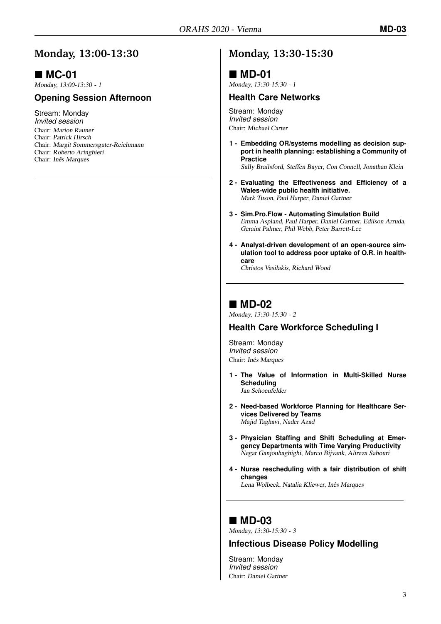### **Monday, 13:00-13:30**

## **MC-01**

Monday, 13:00-13:30 - 1

#### **Opening Session Afternoon**

Stream: Monday *Invited session* Chair: Marion Rauner Chair: Patrick Hirsch Chair: Margit Sommersguter-Reichmann Chair: Roberto Aringhieri Chair: Inês Marques

## **Monday, 13:30-15:30**

### **MD-01**

Monday, 13:30-15:30 - 1

#### **Health Care Networks**

Stream: Monday *Invited session* Chair: Michael Carter

**1 - Embedding OR/systems modelling as decision support in health planning: establishing a Community of Practice**

Sally Brailsford, Steffen Bayer, Con Connell, Jonathan Klein

- **2 - Evaluating the Effectiveness and Efficiency of a Wales-wide public health initiative.** Mark Tuson, Paul Harper, Daniel Gartner
- **3 - Sim.Pro.Flow Automating Simulation Build** Emma Aspland, Paul Harper, Daniel Gartner, Edilson Arruda, Geraint Palmer, Phil Webb, Peter Barrett-Lee
- **4 - Analyst-driven development of an open-source simulation tool to address poor uptake of O.R. in healthcare**

Christos Vasilakis, Richard Wood

### **MD-02**

Monday, 13:30-15:30 - 2

#### **Health Care Workforce Scheduling I**

Stream: Monday *Invited session* Chair: Inês Marques

- **1 - The Value of Information in Multi-Skilled Nurse Scheduling** Jan Schoenfelder
- **2 - Need-based Workforce Planning for Healthcare Services Delivered by Teams** Majid Taghavi, Nader Azad
- **3 - Physician Staffing and Shift Scheduling at Emergency Departments with Time Varying Productivity** Negar Ganjouhaghighi, Marco Bijvank, Alireza Sabouri
- **4 - Nurse rescheduling with a fair distribution of shift changes** Lena Wolbeck, Natalia Kliewer, Inês Marques

### ■ MD-03

Monday, 13:30-15:30 - 3

#### **Infectious Disease Policy Modelling**

Stream: Monday *Invited session* Chair: Daniel Gartner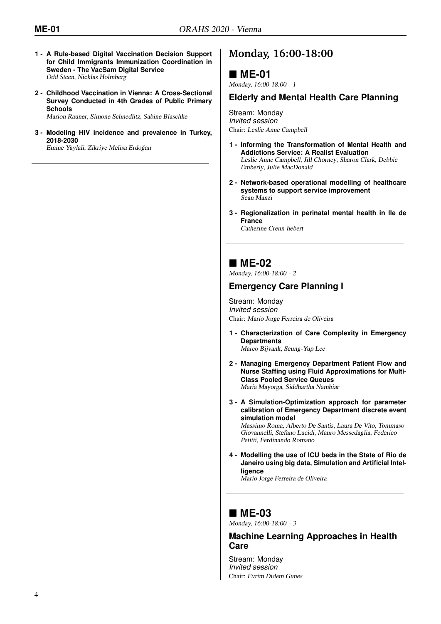- **1 - A Rule-based Digital Vaccination Decision Support for Child Immigrants Immunization Coordination in Sweden - The VacSam Digital Service** Odd Steen, Nicklas Holmberg
- **2 - Childhood Vaccination in Vienna: A Cross-Sectional Survey Conducted in 4th Grades of Public Primary Schools**

Marion Rauner, Simone Schnedlitz, Sabine Blaschke

**3 - Modeling HIV incidence and prevalence in Turkey, 2018-2030** Emine Yaylali, Zikriye Melisa Erdogan ˘

## **Monday, 16:00-18:00**

### **ME-01**

Monday, 16:00-18:00 - 1

#### **Elderly and Mental Health Care Planning**

Stream: Monday *Invited session* Chair: Leslie Anne Campbell

- **1 - Informing the Transformation of Mental Health and Addictions Service: A Realist Evaluation** Leslie Anne Campbell, Jill Chorney, Sharon Clark, Debbie Emberly, Julie MacDonald
- **2 - Network-based operational modelling of healthcare systems to support service improvement** Sean Manzi
- **3 - Regionalization in perinatal mental health in Ile de France** Catherine Crenn-hebert

### **ME-02**

Monday, 16:00-18:00 - 2

#### **Emergency Care Planning I**

Stream: Monday *Invited session* Chair: Mario Jorge Ferreira de Oliveira

- **1 - Characterization of Care Complexity in Emergency Departments** Marco Bijvank, Seung-Yup Lee
- **2 - Managing Emergency Department Patient Flow and Nurse Staffing using Fluid Approximations for Multi-Class Pooled Service Queues** Maria Mayorga, Siddhartha Nambiar
- **3 - A Simulation-Optimization approach for parameter calibration of Emergency Department discrete event simulation model** Massimo Roma, Alberto De Santis, Laura De Vito, Tommaso

Giovannelli, Stefano Lucidi, Mauro Messedaglia, Federico Petitti, Ferdinando Romano

**4 - Modelling the use of ICU beds in the State of Rio de Janeiro using big data, Simulation and Artificial Intelligence**

Mario Jorge Ferreira de Oliveira

### ■ ME-03

Monday, 16:00-18:00 - 3

#### **Machine Learning Approaches in Health Care**

Stream: Monday *Invited session* Chair: Evrim Didem Gunes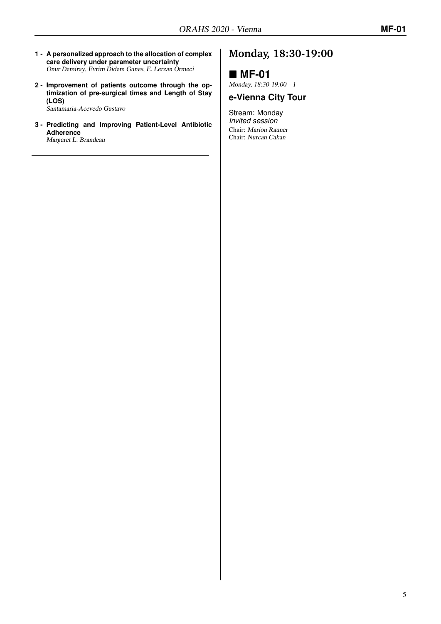- **1 - A personalized approach to the allocation of complex care delivery under parameter uncertainty** Onur Demiray, Evrim Didem Gunes, E. Lerzan Ormeci
- **2 - Improvement of patients outcome through the optimization of pre-surgical times and Length of Stay (LOS)**

Santamaria-Acevedo Gustavo

**3 - Predicting and Improving Patient-Level Antibiotic Adherence**

Margaret L. Brandeau

## **Monday, 18:30-19:00**

### **MF-01**

Monday, 18:30-19:00 - 1

### **e-Vienna City Tour**

Stream: Monday *Invited session* Chair: Marion Rauner Chair: Nurcan Cakan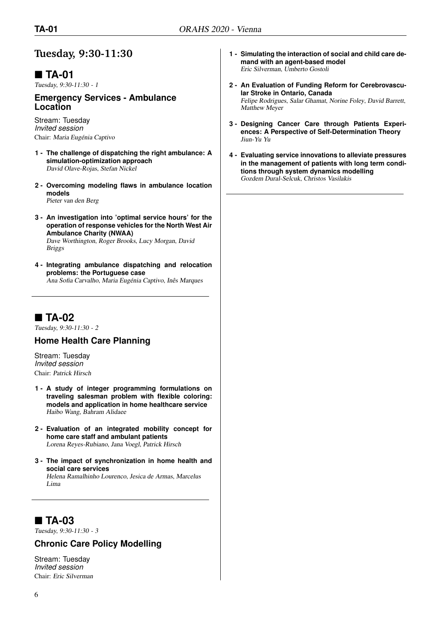### **Tuesday, 9:30-11:30**

## **TA-01**

Tuesday, 9:30-11:30 - 1

#### **Emergency Services - Ambulance Location**

Stream: Tuesday *Invited session* Chair: Maria Eugénia Captivo

- **1 - The challenge of dispatching the right ambulance: A simulation-optimization approach** David Olave-Rojas, Stefan Nickel
- **2 - Overcoming modeling flaws in ambulance location models** Pieter van den Berg
- **3 - An investigation into 'optimal service hours' for the operation of response vehicles for the North West Air Ambulance Charity (NWAA)** Dave Worthington, Roger Brooks, Lucy Morgan, David Briggs
- **4 - Integrating ambulance dispatching and relocation problems: the Portuguese case** Ana Sofia Carvalho, Maria Eugénia Captivo, Inês Marques

**TA-02**

Tuesday, 9:30-11:30 - 2

#### **Home Health Care Planning**

Stream: Tuesday *Invited session* Chair: Patrick Hirsch

- **1 - A study of integer programming formulations on traveling salesman problem with flexible coloring: models and application in home healthcare service** Haibo Wang, Bahram Alidaee
- **2 - Evaluation of an integrated mobility concept for home care staff and ambulant patients** Lorena Reyes-Rubiano, Jana Voegl, Patrick Hirsch
- **3 - The impact of synchronization in home health and social care services** Helena Ramalhinho Lourenco, Jesica de Armas, Marcelus Lima

## **TA-03**

Tuesday, 9:30-11:30 - 3

#### **Chronic Care Policy Modelling**

Stream: Tuesday *Invited session* Chair: Eric Silverman

- **1 - Simulating the interaction of social and child care demand with an agent-based model** Eric Silverman, Umberto Gostoli
- **2 - An Evaluation of Funding Reform for Cerebrovascular Stroke in Ontario, Canada** Felipe Rodrigues, Salar Ghamat, Norine Foley, David Barrett, Matthew Meyer
- **3 - Designing Cancer Care through Patients Experiences: A Perspective of Self-Determination Theory** Jiun-Yu Yu
- **4 - Evaluating service innovations to alleviate pressures in the management of patients with long term conditions through system dynamics modelling** Gozdem Dural-Selcuk, Christos Vasilakis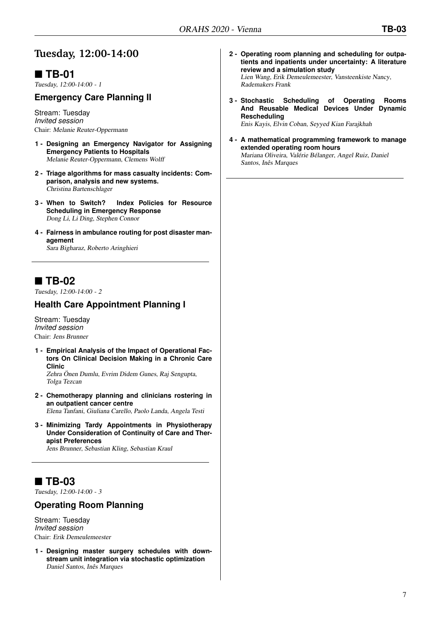## **Tuesday, 12:00-14:00**

## **TB-01**

Tuesday, 12:00-14:00 - 1

### **Emergency Care Planning II**

Stream: Tuesday *Invited session* Chair: Melanie Reuter-Oppermann

- **1 - Designing an Emergency Navigator for Assigning Emergency Patients to Hospitals** Melanie Reuter-Oppermann, Clemens Wolff
- **2 - Triage algorithms for mass casualty incidents: Comparison, analysis and new systems.** Christina Bartenschlager
- **3 - When to Switch? Index Policies for Resource Scheduling in Emergency Response** Dong Li, Li Ding, Stephen Connor
- **4 - Fairness in ambulance routing for post disaster management** Sara Bigharaz, Roberto Aringhieri

## ■ TB-02

Tuesday, 12:00-14:00 - 2

#### **Health Care Appointment Planning I**

Stream: Tuesday *Invited session* Chair: Jens Brunner

- **1 - Empirical Analysis of the Impact of Operational Factors On Clinical Decision Making in a Chronic Care Clinic** Zehra Önen Dumlu, Evrim Didem Gunes, Raj Sengupta, Tolga Tezcan
- **2 - Chemotherapy planning and clinicians rostering in an outpatient cancer centre** Elena Tanfani, Giuliana Carello, Paolo Landa, Angela Testi
- **3 - Minimizing Tardy Appointments in Physiotherapy Under Consideration of Continuity of Care and Therapist Preferences**

Jens Brunner, Sebastian Kling, Sebastian Kraul

### ■ TB-03

Tuesday, 12:00-14:00 - 3

#### **Operating Room Planning**

Stream: Tuesday *Invited session* Chair: Erik Demeulemeester

**1 - Designing master surgery schedules with downstream unit integration via stochastic optimization** Daniel Santos, Inês Marques

- **2 - Operating room planning and scheduling for outpatients and inpatients under uncertainty: A literature review and a simulation study** Lien Wang, Erik Demeulemeester, Vansteenkiste Nancy, Rademakers Frank
- **3 - Stochastic Scheduling of Operating Rooms And Reusable Medical Devices Under Dynamic Rescheduling**

Enis Kayis, Elvin Coban, Seyyed Kian Farajkhah

**4 - A mathematical programming framework to manage extended operating room hours** Mariana Oliveira, Valérie Bélanger, Angel Ruiz, Daniel Santos, Inês Marques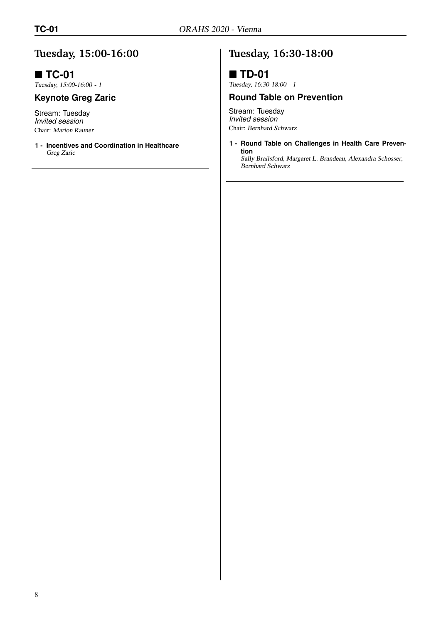## **Tuesday, 15:00-16:00**

## ■ **TC-01**

Tuesday, 15:00-16:00 - 1

### **Keynote Greg Zaric**

Stream: Tuesday *Invited session* Chair: Marion Rauner

**1 - Incentives and Coordination in Healthcare** Greg Zaric

## **Tuesday, 16:30-18:00**

### **TD-01**

Tuesday, 16:30-18:00 - 1

#### **Round Table on Prevention**

Stream: Tuesday *Invited session* Chair: Bernhard Schwarz

**1 - Round Table on Challenges in Health Care Prevention**

Sally Brailsford, Margaret L. Brandeau, Alexandra Schosser, Bernhard Schwarz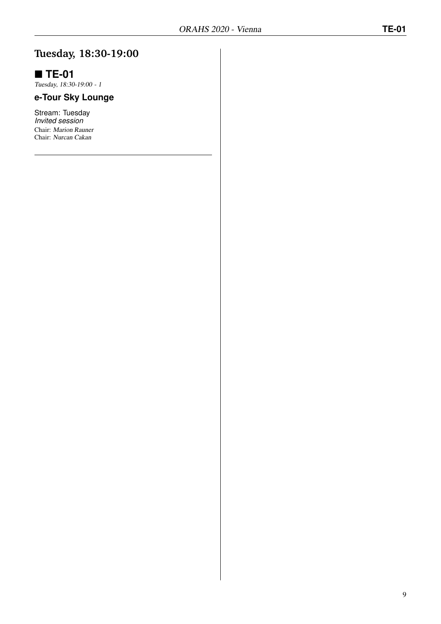## **Tuesday, 18:30-19:00**

## **TE-01**

Tuesday, 18:30-19:00 - 1

# **e-Tour Sky Lounge**

Stream: Tuesday *Invited session* Chair: Marion Rauner Chair: Nurcan Cakan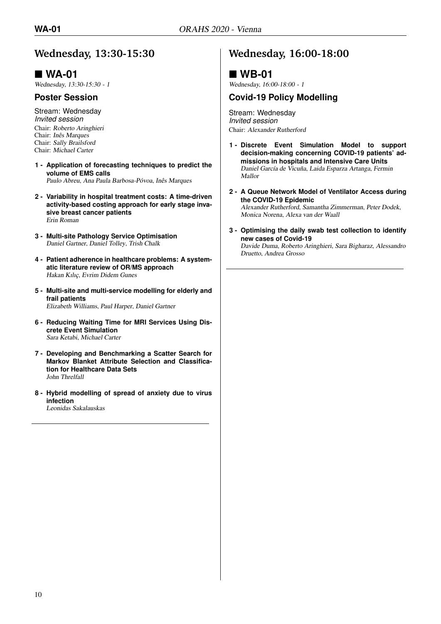## **Wednesday, 13:30-15:30**

### **WA-01**

Wednesday, 13:30-15:30 - 1

#### **Poster Session**

Stream: Wednesday *Invited session* Chair: Roberto Aringhieri Chair: Inês Marques Chair: Sally Brailsford Chair: Michael Carter

- **1 - Application of forecasting techniques to predict the volume of EMS calls** Paulo Abreu, Ana Paula Barbosa-Póvoa, Inês Marques
- **2 - Variability in hospital treatment costs: A time-driven activity-based costing approach for early stage invasive breast cancer patients** Erin Roman
- **3 - Multi-site Pathology Service Optimisation** Daniel Gartner, Daniel Tolley, Trish Chalk
- **4 - Patient adherence in healthcare problems: A systematic literature review of OR/MS approach** Hakan Kılıç, Evrim Didem Gunes
- **5 - Multi-site and multi-service modelling for elderly and frail patients** Elizabeth Williams, Paul Harper, Daniel Gartner
- **6 - Reducing Waiting Time for MRI Services Using Discrete Event Simulation** Sara Ketabi, Michael Carter
- **7 - Developing and Benchmarking a Scatter Search for Markov Blanket Attribute Selection and Classification for Healthcare Data Sets** John Threlfall
- **8 - Hybrid modelling of spread of anxiety due to virus infection** Leonidas Sakalauskas

## **Wednesday, 16:00-18:00**

### **WB-01**

Wednesday, 16:00-18:00 - 1

#### **Covid-19 Policy Modelling**

Stream: Wednesday *Invited session* Chair: Alexander Rutherford

- **1 - Discrete Event Simulation Model to support decision-making concerning COVID-19 patients' admissions in hospitals and Intensive Care Units** Daniel García de Vicuña, Laida Esparza Artanga, Fermin Mallor
- **2 - A Queue Network Model of Ventilator Access during the COVID-19 Epidemic** Alexander Rutherford, Samantha Zimmerman, Peter Dodek, Monica Norena, Alexa van der Waall
- **3 - Optimising the daily swab test collection to identify new cases of Covid-19**

Davide Duma, Roberto Aringhieri, Sara Bigharaz, Alessandro Druetto, Andrea Grosso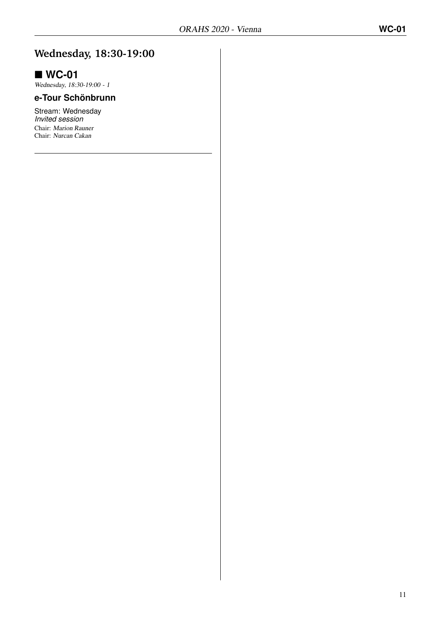## **Wednesday, 18:30-19:00**

## **WC-01**

Wednesday, 18:30-19:00 - 1

### **e-Tour Schönbrunn**

Stream: Wednesday *Invited session* Chair: Marion Rauner Chair: Nurcan Cakan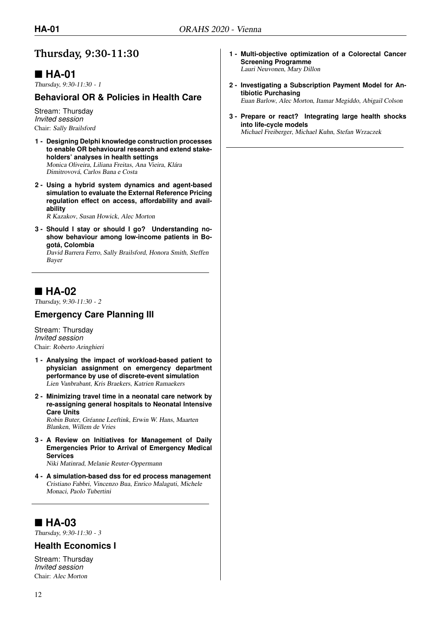## **Thursday, 9:30-11:30**

## **HA-01**

Thursday, 9:30-11:30 - 1

#### **Behavioral OR & Policies in Health Care**

Stream: Thursday *Invited session* Chair: Sally Brailsford

- **1 - Designing Delphi knowledge construction processes to enable OR behavioural research and extend stakeholders' analyses in health settings** Monica Oliveira, Liliana Freitas, Ana Vieira, Klára Dimitrovová, Carlos Bana e Costa
- **2 - Using a hybrid system dynamics and agent-based simulation to evaluate the External Reference Pricing regulation effect on access, affordability and availability**

R Kazakov, Susan Howick, Alec Morton

**3 - Should I stay or should I go? Understanding noshow behaviour among low-income patients in Bogotá, Colombia**

David Barrera Ferro, Sally Brailsford, Honora Smith, Steffen Bayer

## **HA-02**

Thursday, 9:30-11:30 - 2

### **Emergency Care Planning III**

Stream: Thursday *Invited session* Chair: Roberto Aringhieri

- **1 - Analysing the impact of workload-based patient to physician assignment on emergency department performance by use of discrete-event simulation** Lien Vanbrabant, Kris Braekers, Katrien Ramaekers
- **2 - Minimizing travel time in a neonatal care network by re-assigning general hospitals to Neonatal Intensive Care Units** Robin Buter, Gréanne Leeftink, Erwin W. Hans, Maarten Blanken, Willem de Vries
- **3 - A Review on Initiatives for Management of Daily Emergencies Prior to Arrival of Emergency Medical Services**

Niki Matinrad, Melanie Reuter-Oppermann

**4 - A simulation-based dss for ed process management** Cristiano Fabbri, Vincenzo Bua, Enrico Malaguti, Michele Monaci, Paolo Tubertini

## **HA-03**

Thursday, 9:30-11:30 - 3

#### **Health Economics I**

Stream: Thursday *Invited session* Chair: Alec Morton

- **1 - Multi-objective optimization of a Colorectal Cancer Screening Programme** Lauri Neuvonen, Mary Dillon
- **2 - Investigating a Subscription Payment Model for Antibiotic Purchasing** Euan Barlow, Alec Morton, Itamar Megiddo, Abigail Colson
- **3 - Prepare or react? Integrating large health shocks into life-cycle models** Michael Freiberger, Michael Kuhn, Stefan Wrzaczek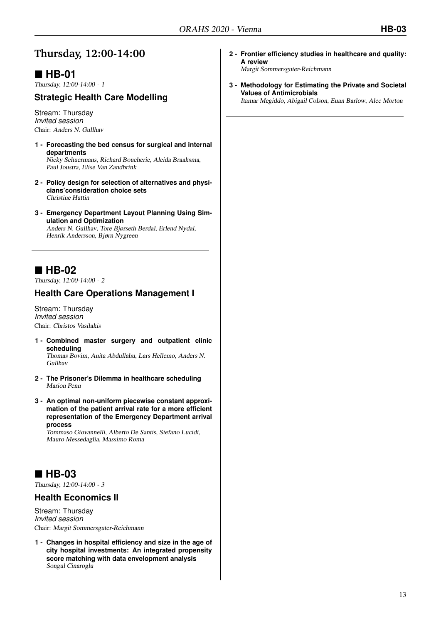## **Thursday, 12:00-14:00**

## **HB-01**

Thursday, 12:00-14:00 - 1

### **Strategic Health Care Modelling**

Stream: Thursday *Invited session* Chair: Anders N. Gullhav

- **1 - Forecasting the bed census for surgical and internal departments** Nicky Schuermans, Richard Boucherie, Aleida Braaksma, Paul Joustra, Elise Van Zandbrink
- **2 - Policy design for selection of alternatives and physicians'consideration choice sets** Christine Huttin
- **3 - Emergency Department Layout Planning Using Simulation and Optimization** Anders N. Gullhav, Tore Bjørseth Berdal, Erlend Nydal, Henrik Andersson, Bjørn Nygreen

## **HB-02**

Thursday, 12:00-14:00 - 2

#### **Health Care Operations Management I**

Stream: Thursday *Invited session* Chair: Christos Vasilakis

**1 - Combined master surgery and outpatient clinic scheduling**

Thomas Bovim, Anita Abdullahu, Lars Hellemo, Anders N. Gullhav

- **2 - The Prisoner's Dilemma in healthcare scheduling** Marion Penn
- **3 - An optimal non-uniform piecewise constant approximation of the patient arrival rate for a more efficient representation of the Emergency Department arrival process**

Tommaso Giovannelli, Alberto De Santis, Stefano Lucidi, Mauro Messedaglia, Massimo Roma

## **HB-03**

Thursday, 12:00-14:00 - 3

#### **Health Economics II**

Stream: Thursday *Invited session* Chair: Margit Sommersguter-Reichmann

**1 - Changes in hospital efficiency and size in the age of city hospital investments: An integrated propensity score matching with data envelopment analysis** Songul Cinaroglu

**2 - Frontier efficiency studies in healthcare and quality: A review**

Margit Sommersguter-Reichmann

**3 - Methodology for Estimating the Private and Societal Values of Antimicrobials**

Itamar Megiddo, Abigail Colson, Euan Barlow, Alec Morton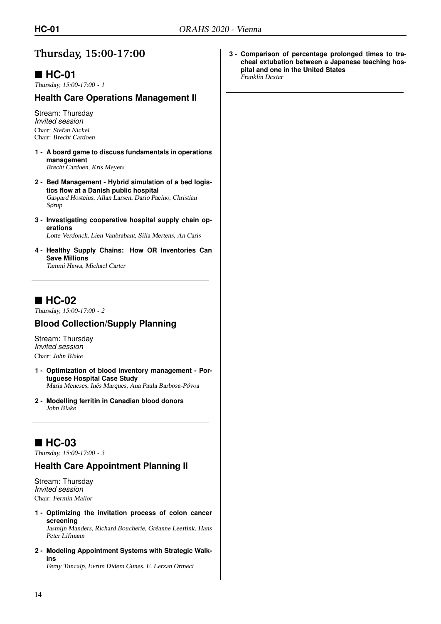## **Thursday, 15:00-17:00**

## **HC-01**

Thursday, 15:00-17:00 - 1

#### **Health Care Operations Management II**

Stream: Thursday *Invited session* Chair: Stefan Nickel Chair: Brecht Cardoen

- **1 - A board game to discuss fundamentals in operations management** Brecht Cardoen, Kris Meyers
- **2 - Bed Management Hybrid simulation of a bed logistics flow at a Danish public hospital** Gaspard Hosteins, Allan Larsen, Dario Pacino, Christian Sørup
- **3 - Investigating cooperative hospital supply chain operations**

Lotte Verdonck, Lien Vanbrabant, Silia Mertens, An Caris

**4 - Healthy Supply Chains: How OR Inventories Can Save Millions** Tammi Hawa, Michael Carter

## **HC-02**

Thursday, 15:00-17:00 - 2

#### **Blood Collection/Supply Planning**

Stream: Thursday *Invited session* Chair: John Blake

- **1 - Optimization of blood inventory management Portuguese Hospital Case Study** Maria Meneses, Inês Marques, Ana Paula Barbosa-Póvoa
- **2 - Modelling ferritin in Canadian blood donors** John Blake

## **HC-03**

Thursday, 15:00-17:00 - 3

#### **Health Care Appointment Planning II**

Stream: Thursday *Invited session* Chair: Fermin Mallor

- **1 - Optimizing the invitation process of colon cancer screening** Jasmijn Manders, Richard Boucherie, Gréanne Leeftink, Hans
- Peter Lifmann **2 - Modeling Appointment Systems with Strategic Walk-**

**ins** Feray Tuncalp, Evrim Didem Gunes, E. Lerzan Ormeci **3 - Comparison of percentage prolonged times to tracheal extubation between a Japanese teaching hospital and one in the United States** Franklin Dexter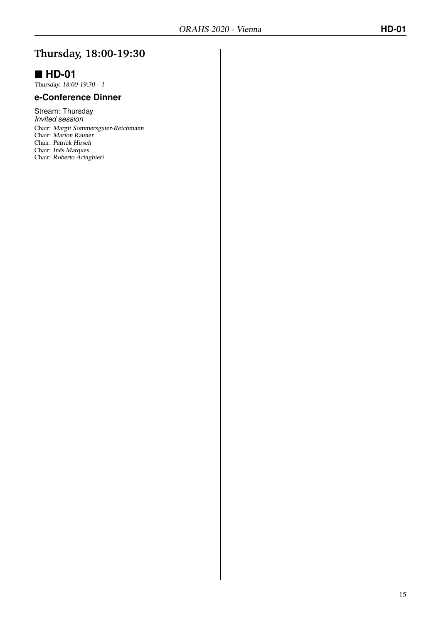## **Thursday, 18:00-19:30**

## **HD-01**

Thursday, 18:00-19:30 - 1

#### **e-Conference Dinner**

Stream: Thursday *Invited session* Chair: Margit Sommersguter-Reichmann Chair: Marion Rauner Chair: Patrick Hirsch Chair: Inês Marques Chair: Roberto Aringhieri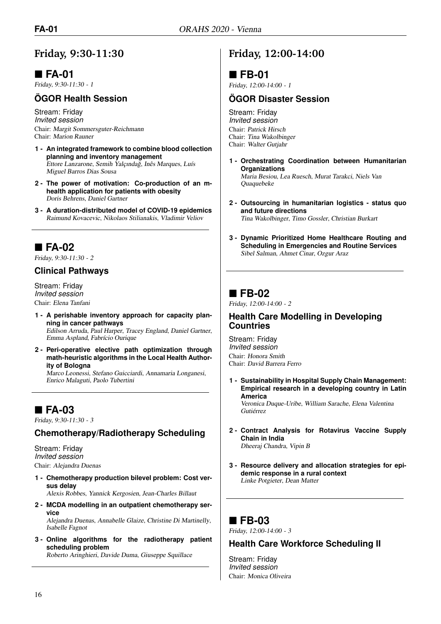## **Friday, 9:30-11:30**

## **FA-01**

Friday, 9:30-11:30 - 1

#### **ÖGOR Health Session**

Stream: Friday *Invited session* Chair: Margit Sommersguter-Reichmann Chair: Marion Rauner

- **1 - An integrated framework to combine blood collection planning and inventory management** Ettore Lanzarone, Semih Yalçındağ, Inês Marques, Luís Miguel Barros Dias Sousa
- **2 - The power of motivation: Co-production of an mhealth application for patients with obesity** Doris Behrens, Daniel Gartner
- **3 - A duration-distributed model of COVID-19 epidemics** Raimund Kovacevic, Nikolaos Stilianakis, Vladimir Veliov

## **FA-02**

Friday, 9:30-11:30 - 2

#### **Clinical Pathways**

Stream: Friday *Invited session* Chair: Elena Tanfani

- **1 - A perishable inventory approach for capacity planning in cancer pathways** Edilson Arruda, Paul Harper, Tracey England, Daniel Gartner, Emma Aspland, Fabrício Ourique
- **2 - Peri-operative elective path optimization through math-heuristic algorithms in the Local Health Authority of Bologna**

Marco Leonessi, Stefano Guicciardi, Annamaria Longanesi, Enrico Malaguti, Paolo Tubertini

## **FA-03**

Friday, 9:30-11:30 - 3

#### **Chemotherapy/Radiotherapy Scheduling**

Stream: Friday *Invited session* Chair: Alejandra Duenas

**1 - Chemotherapy production bilevel problem: Cost versus delay**

Alexis Robbes, Yannick Kergosien, Jean-Charles Billaut

**2 - MCDA modelling in an outpatient chemotherapy service**

Alejandra Duenas, Annabelle Glaize, Christine Di Martinelly, Isabelle Fagnot

**3 - Online algorithms for the radiotherapy patient scheduling problem**

Roberto Aringhieri, Davide Duma, Giuseppe Squillace

### **Friday, 12:00-14:00**

### **FB-01**

Friday, 12:00-14:00 - 1

#### **ÖGOR Disaster Session**

Stream: Friday *Invited session* Chair: Patrick Hirsch Chair: Tina Wakolbinger Chair: Walter Gutjahr

- **1 - Orchestrating Coordination between Humanitarian Organizations** Maria Besiou, Lea Ruesch, Murat Tarakci, Niels Van Quaquebeke
- **2 - Outsourcing in humanitarian logistics status quo and future directions** Tina Wakolbinger, Timo Gossler, Christian Burkart
- **3 - Dynamic Prioritized Home Healthcare Routing and Scheduling in Emergencies and Routine Services** Sibel Salman, Ahmet Cinar, Ozgur Araz

### ■ FB-02

Friday, 12:00-14:00 - 2

#### **Health Care Modelling in Developing Countries**

Stream: Friday *Invited session* Chair: Honora Smith Chair: David Barrera Ferro

**1 - Sustainability in Hospital Supply Chain Management: Empirical research in a developing country in Latin America**

Veronica Duque-Uribe, William Sarache, Elena Valentina Gutiérrez

- **2 - Contract Analysis for Rotavirus Vaccine Supply Chain in India** Dheeraj Chandra, Vipin B
- **3 - Resource delivery and allocation strategies for epidemic response in a rural context** Linke Potgieter, Dean Matter

## **FB-03**

Friday, 12:00-14:00 - 3

#### **Health Care Workforce Scheduling II**

Stream: Friday *Invited session* Chair: Monica Oliveira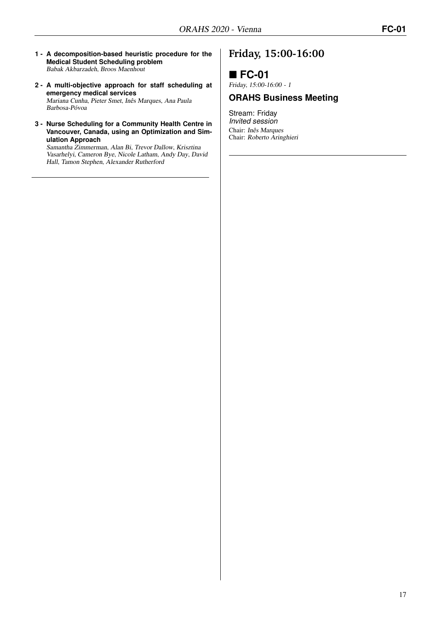- **1 - A decomposition-based heuristic procedure for the Medical Student Scheduling problem** Babak Akbarzadeh, Broos Maenhout
- **2 - A multi-objective approach for staff scheduling at emergency medical services** Mariana Cunha, Pieter Smet, Inês Marques, Ana Paula Barbosa-Póvoa
- **3 - Nurse Scheduling for a Community Health Centre in Vancouver, Canada, using an Optimization and Simulation Approach**

Samantha Zimmerman, Alan Bi, Trevor Dallow, Krisztina Vasarhelyi, Cameron Bye, Nicole Latham, Andy Day, David Hall, Tamon Stephen, Alexander Rutherford

## **Friday, 15:00-16:00**

## **FC-01**

Friday, 15:00-16:00 - 1

#### **ORAHS Business Meeting**

Stream: Friday *Invited session* Chair: Inês Marques Chair: Roberto Aringhieri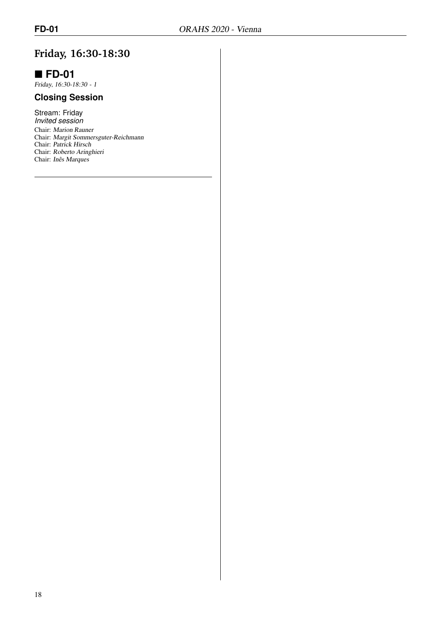## **Friday, 16:30-18:30**

## **FD-01**

Friday, 16:30-18:30 - 1

### **Closing Session**

Stream: Friday *Invited session* Chair: Marion Rauner Chair: Margit Sommersguter-Reichmann Chair: Patrick Hirsch Chair: Roberto Aringhieri Chair: Inês Marques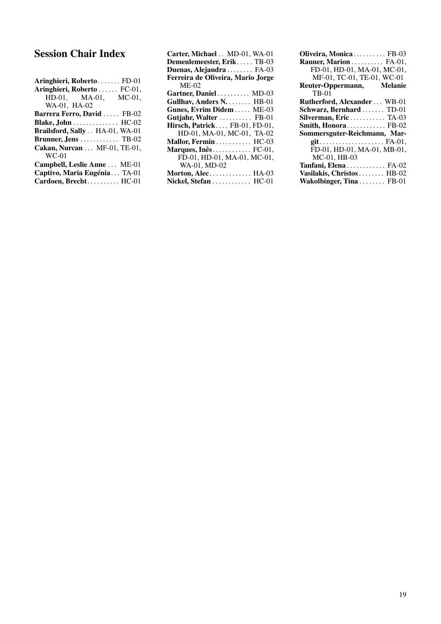## Session Chair Index

| Aringhieri, Roberto FD-01        |
|----------------------------------|
| Aringhieri, Roberto  FC-01,      |
| HD-01, MA-01, MC-01,             |
| WA-01, HA-02                     |
| Barrera Ferro, David  FB-02      |
| Blake, John  HC-02               |
| Brailsford, Sally . HA-01, WA-01 |
| Brunner, Jens  TB-02             |
| Cakan, Nurcan MF-01, TE-01,      |
| $WC-01$                          |
| Campbell, Leslie Anne  ME-01     |
| Captivo, Maria Eugénia TA-01     |
| Cardoen, Brecht HC-01            |

| Carter, Michael . MD-01, WA-01              |  |
|---------------------------------------------|--|
| Demeulemeester, Erik TB-03                  |  |
| Duenas, Alejandra  FA-03                    |  |
| Ferreira de Oliveira, Mario Jorge           |  |
| $ME-02$                                     |  |
| Gartner, Daniel  MD-03                      |  |
| Gullhav, Anders N. HB-01                    |  |
| Gunes, Evrim Didem ME-03                    |  |
| Gutjahr, Walter  FB-01                      |  |
| Hirsch, Patrick FB-01, FD-01,               |  |
| HD-01, MA-01, MC-01, TA-02                  |  |
| Mallor, Fermin HC-03                        |  |
| Marques, $In\hat{e}s$ FC-01,                |  |
| FD-01, HD-01, MA-01, MC-01,                 |  |
| WA-01, MD-02                                |  |
| Morton, Alec $HA-03$                        |  |
| Nickel, Stefan $\dots\dots\dots\dots$ HC-01 |  |

| Oliveira, Monica FB-03                                    |
|-----------------------------------------------------------|
| Rauner, Marion  FA-01,                                    |
| FD-01, HD-01, MA-01, MC-01,                               |
| MF-01, TC-01, TE-01, WC-01                                |
| Reuter-Oppermann, Melanie                                 |
| <b>TB-01</b>                                              |
| <b>Rutherford, Alexander WB-01</b>                        |
| Schwarz, Bernhard  TD-01                                  |
| Silverman, Eric TA-03                                     |
| <b>Smith, Honora</b> FB-02                                |
| Sommersguter-Reichmann, Mar-                              |
| $git. \ldots \ldots \ldots \ldots \ldots \ldots$ . FA-01, |
| FD-01, HD-01, MA-01, MB-01,                               |
| $MC-01$ , $HB-03$                                         |
| Tanfani, Elena  FA-02                                     |
| Vasilakis, Christos HB-02                                 |
| Wakolbinger, Tina  FB-01                                  |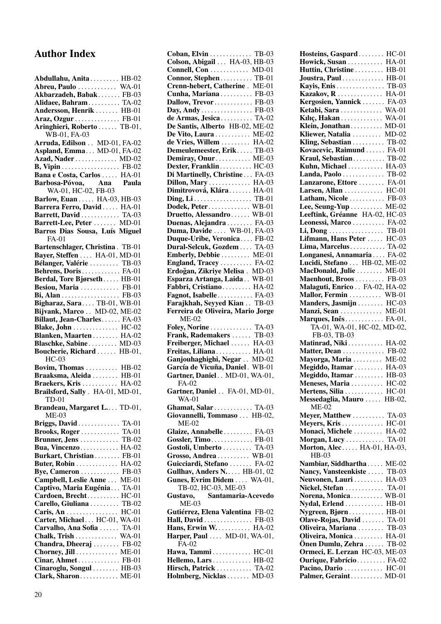## Author Index

| Abdullahu, Anita  HB-02<br>Abreu, Paulo  WA-01    |              |
|---------------------------------------------------|--------------|
|                                                   |              |
| Akbarzadeh, Babak FB-03                           |              |
| Alidaee, Bahram TA-02                             |              |
| Andersson, Henrik  HB-01                          |              |
| Araz, Ozgur  FB-01<br>Aringhieri, Roberto  TB-01, |              |
| WB-01, FA-03                                      |              |
| Arruda, Edilson . MD-01, FA-02                    |              |
| Aspland, Emma MD-01, FA-02                        |              |
| Azad, Nader  MD-02                                |              |
| B, Vipin FB-02                                    |              |
| Bana e Costa, Carlos  HA-01                       |              |
| Barbosa-Póvoa, Ana Paula                          |              |
| WA-01, HC-02, FB-03                               |              |
| Barlow, Euan HA-03, HB-03                         |              |
| Barrera Ferro, David  HA-01                       |              |
| Barrett, David  TA-03                             |              |
| Barrett-Lee, Peter  MD-01                         |              |
| Barros Dias Sousa, Luís Miguel<br>$FA-01$         |              |
| Bartenschlager, Christina. TB-01                  |              |
| Bayer, Steffen  HA-01, MD-01                      |              |
| Bélanger, Valérie  TB-03                          |              |
| Behrens, Doris FA-01                              |              |
| Berdal, Tore Bjørseth HB-01                       |              |
| Besiou, Maria  FB-01                              |              |
| Bi, Alan  FB-03                                   |              |
| Bigharaz, Sara TB-01, WB-01                       |              |
| Bijvank, Marco  MD-02, ME-02                      |              |
| Billaut, Jean-Charles FA-03                       |              |
| Blake, John  HC-02<br>Blanken, Maarten  HA-02     |              |
|                                                   |              |
| Blaschke, Sabine MD-03                            |              |
| Boucherie, Richard  HB-01,<br>$HC-03$             |              |
|                                                   |              |
| Bovim, Thomas  HB-02<br>Braaksma, Aleida  HB-01   |              |
| Braekers, Kris  HA-02                             |              |
| Brailsford, Sally . HA-01, MD-01,                 |              |
|                                                   |              |
| TD-01 Brandeau, Margaret L. TD-01,                |              |
| $ME-03$                                           |              |
| Briggs, David  TA-01                              |              |
| Brooks, Roger TA-01                               |              |
| Brunner, Jens  TB-02                              |              |
| Bua, Vincenzo  HA-02                              |              |
| Burkart, Christian FB-01<br>Buter, Robin          | $HA-02$      |
| Bye, Cameron  FB-03                               |              |
| Campbell, Leslie Anne  ME-01                      |              |
| Captivo, Maria Eugénia TA-01                      |              |
| Cardoen, Brecht HC-01                             |              |
| Carello, Giuliana  TB-02                          |              |
|                                                   | $HC-01$      |
| Carter, Michael HC-01, WA-01                      |              |
| Carvalho, Ana Sofia  TA-01                        |              |
| Chalk, Trish                                      | <b>WA-01</b> |
| Chandra, Dheeraj  FB-02                           |              |
| Chorney, Jill  ME-01                              |              |
| Cinar, Ahmet FB-01<br>Cinaroglu, Songul HB-03     |              |
| Clark, Sharon ME-01                               |              |
|                                                   |              |

| Coban, Elvin TB-03<br>Colson, Abigail HA-03, HB-03                                                                                                                                 |  |
|------------------------------------------------------------------------------------------------------------------------------------------------------------------------------------|--|
| Connell, Con  MD-01                                                                                                                                                                |  |
| Connor, Stephen TB-01                                                                                                                                                              |  |
| Crenn-hebert, Catherine. ME-01                                                                                                                                                     |  |
| Cunha, Mariana  FB-03                                                                                                                                                              |  |
| Dallow, Trevor FB-03                                                                                                                                                               |  |
| Day, Andy  FB-03                                                                                                                                                                   |  |
| de Armas, Jesica TA-02                                                                                                                                                             |  |
| De Santis, Alberto HB-02, ME-02                                                                                                                                                    |  |
|                                                                                                                                                                                    |  |
| De Vito, Laura ME-02<br>de Vries, Willem HA-02                                                                                                                                     |  |
| Demeulemeester, Erik TB-03                                                                                                                                                         |  |
| Demiray, Onur ME-03                                                                                                                                                                |  |
| Dexter, Franklin HC-03                                                                                                                                                             |  |
| Di Martinelly, Christine  FA-03                                                                                                                                                    |  |
| Dillon, Mary  HA-03                                                                                                                                                                |  |
| Dimitrovová, Klára HA-01                                                                                                                                                           |  |
|                                                                                                                                                                                    |  |
| Dodek, Peter WB-01                                                                                                                                                                 |  |
| Druetto, Alessandro WB-01                                                                                                                                                          |  |
|                                                                                                                                                                                    |  |
| Duenas, Alejandra FA-03<br><mark>Duma, Davide</mark> WB-01, FA-03                                                                                                                  |  |
| Duque-Uribe, Veronica FB-02                                                                                                                                                        |  |
| Dural-Selcuk, Gozdem  TA-03                                                                                                                                                        |  |
|                                                                                                                                                                                    |  |
| Emberly, Debbie ME-01<br>England, Tracey FA-02<br>Erdoğan, Zikriye Melisa . MD-03                                                                                                  |  |
|                                                                                                                                                                                    |  |
| Esparza Artanga, Laida WB-01                                                                                                                                                       |  |
|                                                                                                                                                                                    |  |
| Fabbri, Cristiano HA-02                                                                                                                                                            |  |
| Fagnot, Isabelle  FA-03                                                                                                                                                            |  |
| Farajkhah, Seyyed Kian TB-03                                                                                                                                                       |  |
| Ferreira de Oliveira, Mario Jorge                                                                                                                                                  |  |
|                                                                                                                                                                                    |  |
| $ME-02$                                                                                                                                                                            |  |
|                                                                                                                                                                                    |  |
|                                                                                                                                                                                    |  |
| <b>Foley, Norine</b> TA-03                                                                                                                                                         |  |
| Frank, Rademakers TB-03<br>Freiberger, Michael HA-03<br>Freitas, Liliana HA-01                                                                                                     |  |
|                                                                                                                                                                                    |  |
|                                                                                                                                                                                    |  |
|                                                                                                                                                                                    |  |
| FA-02                                                                                                                                                                              |  |
|                                                                                                                                                                                    |  |
| $WA-01$                                                                                                                                                                            |  |
| Ganjouhaghighi, Negar . MD-02<br>García de Vicuña, Daniel. WB-01<br>Gartner, Daniel. . MD-01, WA-01,<br>Gartner, Daniel FA-01, MD-01,<br>Ghamat, Salar TA-03                       |  |
|                                                                                                                                                                                    |  |
| ME-02                                                                                                                                                                              |  |
|                                                                                                                                                                                    |  |
| Giovannelli, Tommaso  HB-02,<br>Glaize, Annabelle  FA-03<br>Gossler, Timo FB-01                                                                                                    |  |
|                                                                                                                                                                                    |  |
| Gostoli, Umberto  TA-03<br>Grosso, Andrea WB-01                                                                                                                                    |  |
|                                                                                                                                                                                    |  |
| Guicciardi, Stefano  FA-02<br>Gullhav, Anders N HB-01, 02                                                                                                                          |  |
|                                                                                                                                                                                    |  |
| TB-02, HC-03, ME-03                                                                                                                                                                |  |
| Santamaria-Acevedo                                                                                                                                                                 |  |
| $ME-03$                                                                                                                                                                            |  |
| Gunes, Evrim Didem  WA-01,<br>Gustavo,                                                                                                                                             |  |
|                                                                                                                                                                                    |  |
|                                                                                                                                                                                    |  |
|                                                                                                                                                                                    |  |
| FA-02                                                                                                                                                                              |  |
|                                                                                                                                                                                    |  |
|                                                                                                                                                                                    |  |
| Gutiérrez, Elena Valentina FB-02<br>Hall, David FB-03<br>Hans, Erwin W. HA-02<br>Harper, Paul  MD-01, WA-01,<br>Hawa, Tammi HC-01<br>Hellemo, Lars HB-02<br>Hirsch, Patrick  TA-02 |  |

| Hosteins, Gaspard  HC-01                          |              |
|---------------------------------------------------|--------------|
| Howick, Susan  HA-01                              |              |
| Huttin, Christine  HB-01                          |              |
| Joustra, Paul HB-01                               |              |
| Kayis, Enis  TB-03                                |              |
| Kazakov, R.                                       | <b>HA-01</b> |
| Kergosien, Yannick  FA-03                         |              |
| Ketabi, Sara  WA-01                               |              |
| Kılıç, Hakan  WA-01                               |              |
| Klein, Jonathan MD-01                             |              |
| Kliewer, Natalia  MD-02                           |              |
| Kling, Sebastian TB-02                            |              |
| Kovacevic, Raimund  FA-01                         |              |
| Kraul, Sebastian TB-02                            |              |
| Kuhn, Michael  HA-03                              |              |
| Landa, Paolo  TB-02                               |              |
| Lanzarone, Ettore  FA-01                          |              |
| Larsen, Allan  HC-01                              |              |
| Latham, Nicole  FB-03                             |              |
| Lee, Seung-Yup  ME-02                             |              |
| Leeftink, Gréanne HA-02, HC-03                    |              |
| Leonessi, Marco  FA-02                            |              |
| Li, Dong  TB-01                                   |              |
| Lifmann, Hans Peter  HC-03                        |              |
| Lima, Marcelus TA-02                              |              |
| Longanesi, Annamaria  FA-02                       |              |
| Lucidi, Stefano  HB-02, ME-02                     |              |
| MacDonald, Julie  ME-01                           |              |
| Maenhout, Broos  FB-03                            |              |
| Malaguti, Enrico FA-02, HA-02                     |              |
| Mallor, Fermin  WB-01<br>Manders, Jasmijn  HC-03  |              |
|                                                   |              |
| Manzi, Sean  ME-01                                |              |
| Marques, Inês FA-01,                              |              |
| TA-01, WA-01, HC-02, MD-02,                       |              |
| FB-03, TB-03                                      |              |
| Matinrad, Niki HA-02                              |              |
| Matter, Dean  FB-02                               |              |
| Mayorga, Maria  ME-02                             |              |
| Megiddo, Itamar  HA-03                            |              |
| Megiddo, Itamar  HB-03                            |              |
| Meneses, Maria  HC-02<br>Mertens, Silia  HC-01    |              |
|                                                   |              |
| Messedaglia, Mauro  HB-02,                        |              |
| ME-02                                             |              |
| Meyer, Matthew  TA-03                             |              |
| Meyers, Kris  HC-01                               |              |
| Monaci, Michele  HA-02                            |              |
| Morgan, Lucy  TA-01                               |              |
| Morton, Alec HA-01, HA-03,                        |              |
| $HB-03$                                           |              |
| Nambiar, Siddhartha                               | $ME-02$      |
| Nancy, Vansteenkiste                              | $TB-03$      |
| Neuvonen, Lauri                                   | HA-03        |
| Nickel, Stefan  TA-01                             |              |
| Norena, Monica WB-01                              |              |
| Nydal, Erlend                                     | $HB-01$      |
| Nygreen, Bjørn HB-01<br>Olave-Rojas, David  TA-01 |              |
|                                                   |              |
| Oliveira, Mariana  TB-03                          |              |
|                                                   |              |
| Oliveira, Monica                                  | HA-01        |
| Önen Dumlu, Zehra                                 | TB-02        |
| Ormeci, E. Lerzan HC-03, ME-03                    |              |
| Ourique, Fabrício FA-02                           |              |
| Pacino, Dario  HC-01<br>Palmer, Geraint MD-01     |              |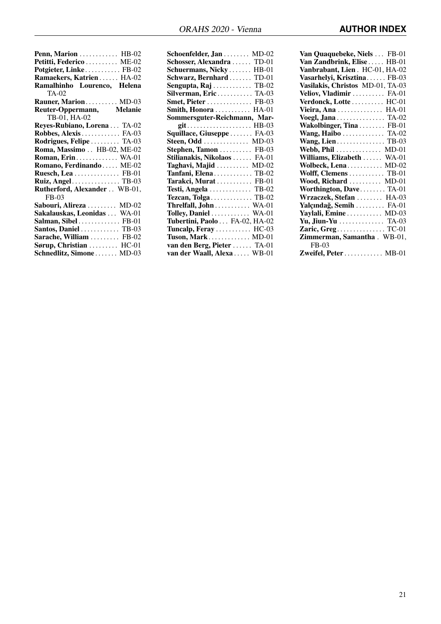| Penn, Marion  HB-02             |
|---------------------------------|
| Petitti, Federico  ME-02        |
| Potgieter, Linke FB-02          |
| Ramaekers, Katrien HA-02        |
| Ramalhinho Lourenco, Helena     |
| TA-02                           |
| Rauner, Marion MD-03            |
| Reuter-Oppermann, Melanie       |
| TB-01, HA-02                    |
| Reyes-Rubiano, Lorena TA-02     |
| Robbes, Alexis FA-03            |
| Rodrigues, Felipe  TA-03        |
| Roma, Massimo . HB-02, ME-02    |
| <b>Roman, Erin WA-01</b>        |
| Romano, Ferdinando  ME-02       |
| Ruesch, Lea  FB-01              |
| <b>Ruiz, Angel TB-03</b>        |
| Rutherford, Alexander WB-01,    |
| $FB-0.3$                        |
| Sabouri, Alireza  MD-02         |
| Sakalauskas, Leonidas  WA-01    |
| Salman, Sibel FB-01             |
| Santos, Daniel  TB-03           |
| Sarache, William  FB-02         |
| Sørup, Christian $\ldots$ HC-01 |
| Schnedlitz, Simone MD-03        |

| Schoenfelder, Jan  MD-02       |  |
|--------------------------------|--|
| Schosser, Alexandra  TD-01     |  |
| Schuermans, Nicky  HB-01       |  |
| Schwarz, Bernhard  TD-01       |  |
| Sengupta, $\text{Raj}$ TB-02   |  |
| Silverman, Eric TA-03          |  |
| Smet, Pieter  FB-03            |  |
| Smith, Honora  HA-01           |  |
| Sommersguter-Reichmann, Mar-   |  |
|                                |  |
| Squillace, Giuseppe  FA-03     |  |
| Steen, Odd MD-03               |  |
| Stephen, Tamon  FB-03          |  |
| Stilianakis, Nikolaos  FA-01   |  |
| Taghavi, Majid  MD-02          |  |
| Tanfani, Elena  TB-02          |  |
| Tarakci, Murat  FB-01          |  |
| Testi, Angela  TB-02           |  |
| Tezcan, Tolga  TB-02           |  |
| Threlfall, John WA-01          |  |
| Tolley, Daniel  WA-01          |  |
| Tubertini, Paolo  FA-02, HA-02 |  |
| Tuncalp, Feray  HC-03          |  |
| Tuson, Mark MD-01              |  |
| van den Berg, Pieter  TA-01    |  |
| van der Waall, Alexa  WB-01    |  |
|                                |  |

| Van Quaquebeke, Niels  FB-01     |
|----------------------------------|
| Van Zandbrink, Elise  HB-01      |
| Vanbrabant, Lien. HC-01, HA-02   |
| Vasarhelyi, Krisztina FB-03      |
| Vasilakis, Christos MD-01, TA-03 |
| Veliov, Vladimir  FA-01          |
| Verdonck, Lotte  HC-01           |
| Vieira, Ana  HA-01               |
| Voegl, Jana TA-02                |
| Wakolbinger, Tina  FB-01         |
| Wang, Haibo  TA-02               |
| Wang, Lien TB-03                 |
| Webb, Phil  MD-01                |
| Williams, Elizabeth  WA-01       |
| Wolbeck, Lena MD-02              |
| Wolff, Clemens  TB-01            |
| Wood, Richard  MD-01             |
| Worthington, Dave TA-01          |
| Wrzaczek, Stefan  HA-03          |
| Yalçındağ, Semih  FA-01          |
| Yaylali, Emine  MD-03            |
| Yu, Jiun-Yu  TA-03               |
| Zaric, Greg TC-01                |
| Zimmerman, Samantha. WB-01,      |
| FB-03                            |
| Zweifel, Peter  MB-01            |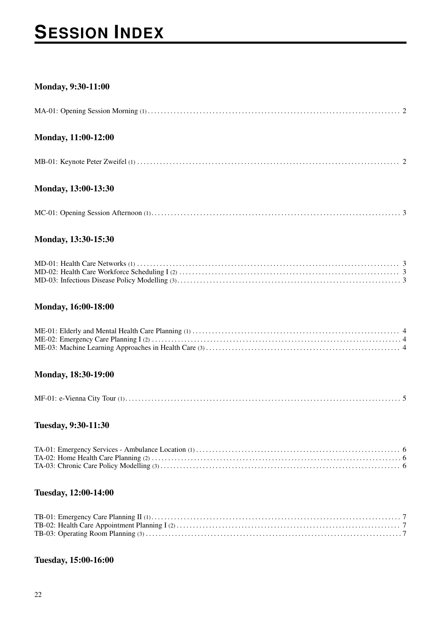# **SESSION INDEX**

#### Monday, 9:30-11:00

#### Monday, 11:00-12:00

### Monday, 13:00-13:30

#### Monday, 13:30-15:30

#### Monday, 16:00-18:00

#### Monday, 18:30-19:00

#### Tuesday, 9:30-11:30

#### Tuesday, 12:00-14:00

#### Tuesday, 15:00-16:00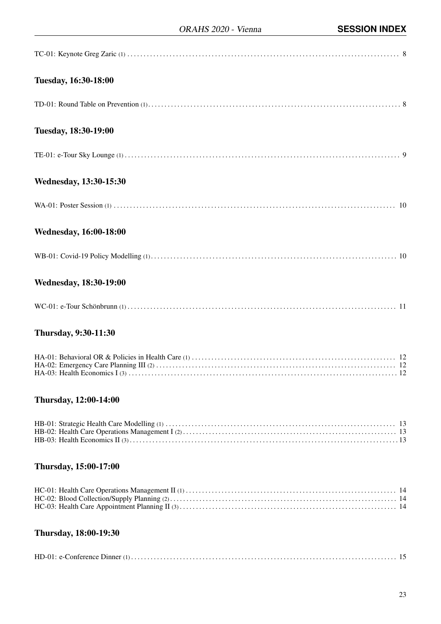| Tuesday, 16:30-18:00          |
|-------------------------------|
|                               |
| Tuesday, 18:30-19:00          |
|                               |
| Wednesday, 13:30-15:30        |
|                               |
| <b>Wednesday, 16:00-18:00</b> |
|                               |
| <b>Wednesday, 18:30-19:00</b> |
|                               |
| <b>Thursday, 9:30-11:30</b>   |
|                               |
| Thursday, 12:00-14:00         |

### Thursday, 15:00-17:00

## Thursday, 18:00-19:30

|--|--|